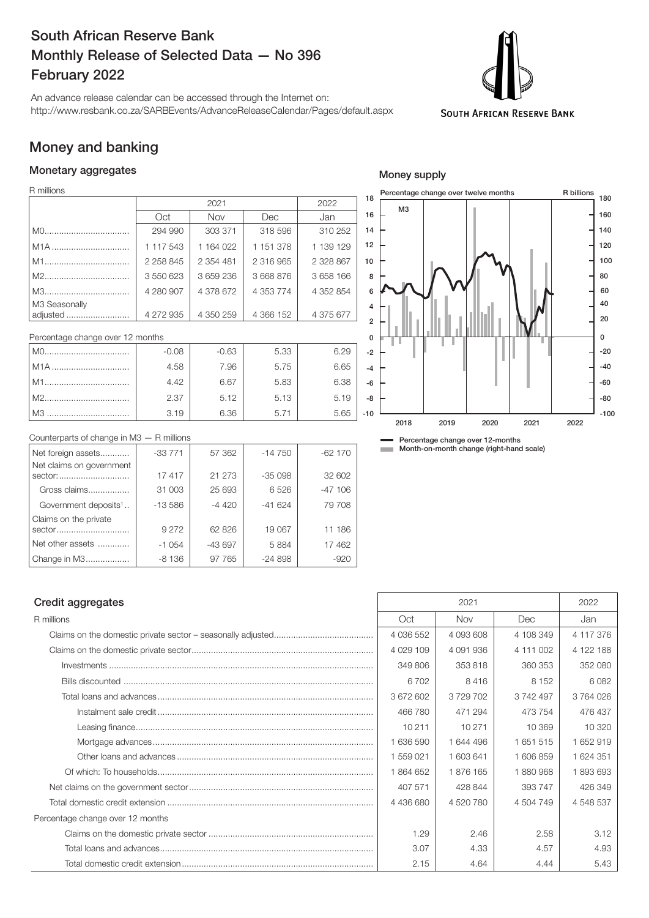# South African Reserve Bank Monthly Release of Selected Data — No 396 February 2022

An advance release calendar can be accessed through the Internet on: http://www.resbank.co.za/SARBEvents/AdvanceReleaseCalendar/Pages/default.aspx



### Money and banking

#### Monetary aggregates

R millions

|                           |           | 2022        |               |           |  |
|---------------------------|-----------|-------------|---------------|-----------|--|
|                           | Oct       | Nov         | Dec           | Jan       |  |
|                           | 294 990   | 303 371     | 318 596       | 310 252   |  |
| M <sub>1</sub> A          | 1 117 543 | 1 1 64 0 22 | 1 151 378     | 1 139 129 |  |
| M1                        | 2 258 845 | 2 354 481   | 2 316 965     | 2 328 867 |  |
|                           | 3 550 623 | 3659236     | 3 668 876     | 3 658 166 |  |
|                           | 4 280 907 | 4 378 672   | 4 3 5 3 7 7 4 | 4 352 854 |  |
| M3 Seasonally<br>adjusted | 4 272 935 | 4 350 259   | 4 366 152     | 4 375 677 |  |

| Percentage change over 12 months |         |         |      |      |       |
|----------------------------------|---------|---------|------|------|-------|
|                                  | $-0.08$ | $-0.63$ | 5.33 | 6.29 | -2    |
| M1A                              | 4.58    | 7.96    | 5.75 | 6.65 |       |
| l M1                             | 4.42    | 6.67    | 5.83 | 6.38 | -6    |
| M2                               | 2.37    | 5.12    | 5.13 | 5.19 | $-8$  |
| l M3                             | 3.19    | 6.36    | 5.71 | 5.65 | $-10$ |



Percentage change over 12-months **Month-on-month change (right-hand scale)** 

# Counterparts of change in M3 — R millions

| Net foreign assets                  | $-33771$ | 57 362   | $-14750$ | $-62170$ |
|-------------------------------------|----------|----------|----------|----------|
| Net claims on government<br>sector: | 17417    | 21 273   | $-35098$ | 32 602   |
| Gross claims                        | 31 003   | 25 693   | 6526     | $-47106$ |
| Government deposits <sup>1</sup>    | $-13586$ | $-4420$  | $-41624$ | 79 708   |
| Claims on the private<br>sector     | 9 2 7 2  | 62 826   | 19 067   | 11 186   |
| Net other assets                    | $-1054$  | $-43697$ | 5884     | 17 462   |
| Change in M3                        | $-8136$  | 97 765   | $-24898$ | $-920$   |

# Credit aggregates 2022 2022

| R millions                       | Oct           | <b>Nov</b> | Dec       | Jan       |
|----------------------------------|---------------|------------|-----------|-----------|
|                                  | 4 036 552     | 4 093 608  | 4 108 349 | 4 117 376 |
|                                  | 4 0 29 10 9   | 4 091 936  | 4 111 002 | 4 122 188 |
|                                  | 349 806       | 353818     | 360 353   | 352 080   |
|                                  | 6702          | 8416       | 8 1 5 2   | 6082      |
|                                  | 3 672 602     | 3729702    | 3742497   | 3764026   |
|                                  | 466780        | 471 294    | 473 754   | 476 437   |
|                                  | 10 211        | 10 271     | 10 369    | 10 3 20   |
|                                  | 1 636 590     | 1 644 496  | 1 651 515 | 1652919   |
|                                  | 1 559 021     | 1 603 641  | 1 606 859 | 1 624 351 |
|                                  | 1864652       | 1876 165   | 1880968   | 1893693   |
|                                  | 407 571       | 428 844    | 393 747   | 426 349   |
|                                  | 4 4 3 6 6 8 0 | 4 520 780  | 4 504 749 | 4 548 537 |
| Percentage change over 12 months |               |            |           |           |
|                                  | 1.29          | 2.46       | 2.58      | 3.12      |
|                                  | 3.07          | 4.33       | 4.57      | 4.93      |
|                                  | 2.15          | 4.64       | 4.44      | 5.43      |

Money supply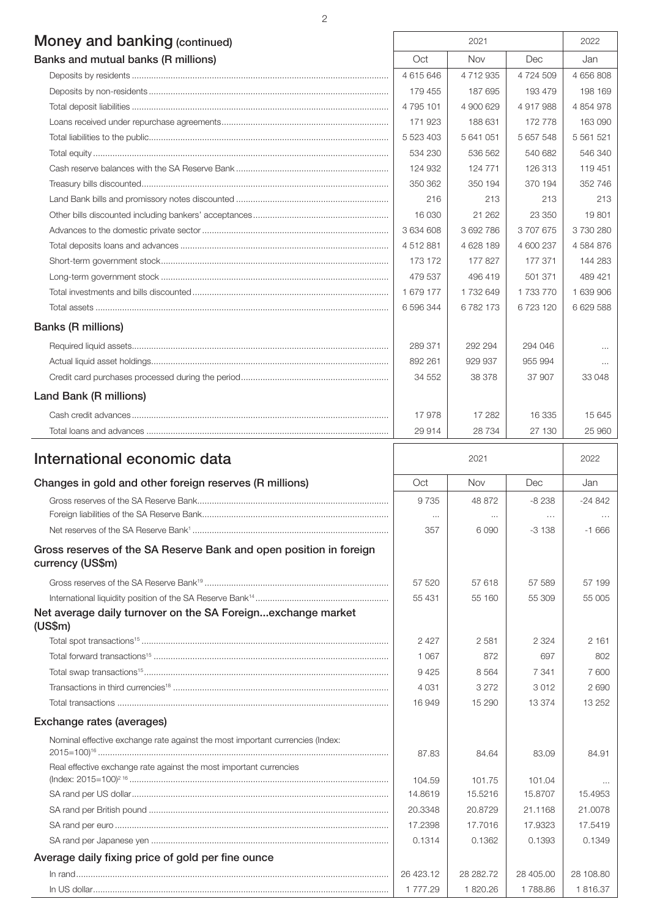# Money and banking (continued) <br>
2021 12022

| <b>IVIOLICY GITG DATINITY</b> (CONTINUED) |           |            |           |               |
|-------------------------------------------|-----------|------------|-----------|---------------|
| Banks and mutual banks (R millions)       | Oct       | <b>Nov</b> | Dec       | Jan           |
|                                           | 4615646   | 4 712 935  | 4 724 509 | 4 656 808     |
|                                           | 179 455   | 187 695    | 193 479   | 198 169       |
|                                           | 4 795 101 | 4 900 629  | 4917988   | 4 854 978     |
|                                           | 171923    | 188 631    | 172 778   | 163 090       |
|                                           | 5 523 403 | 5 641 051  | 5 657 548 | 5 5 6 1 5 2 1 |
|                                           | 534 230   | 536 562    | 540 682   | 546 340       |
|                                           | 124 932   | 124 771    | 126 313   | 119 451       |
|                                           | 350 362   | 350 194    | 370 194   | 352 746       |
|                                           | 216       | 213        | 213       | 213           |
|                                           | 16 030    | 21 262     | 23 350    | 19801         |
|                                           | 3 634 608 | 3692786    | 3707675   | 3730280       |
|                                           | 4512881   | 4 628 189  | 4 600 237 | 4584876       |
|                                           | 173 172   | 177827     | 177 371   | 144 283       |
|                                           | 479 537   | 496419     | 501 371   | 489 421       |
|                                           | 1 679 177 | 1732649    | 1 733 770 | 1 639 906     |
|                                           | 6 596 344 | 6782173    | 6723120   | 6 629 588     |
| <b>Banks (R millions)</b>                 |           |            |           |               |
|                                           | 289 371   | 292 294    | 294 046   | $\cdots$      |
|                                           | 892 261   | 929 937    | 955 994   | $\cdots$      |
|                                           | 34 552    | 38 378     | 37 907    | 33 048        |
| Land Bank (R millions)                    |           |            |           |               |
|                                           | 17978     | 17 282     | 16 335    | 15 645        |
|                                           | 29 914    | 28 7 34    | 27 130    | 25 960        |

 $\mathsf{r}$ 

| International economic data                                                                                                                         |                     | 2021               |                     |           |
|-----------------------------------------------------------------------------------------------------------------------------------------------------|---------------------|--------------------|---------------------|-----------|
| Changes in gold and other foreign reserves (R millions)                                                                                             | Oct                 | Nov                | Dec                 | Jan       |
|                                                                                                                                                     | 9 7 3 5<br>$\cdots$ | 48 872<br>$\cdots$ | $-8238$<br>$\cdots$ | $-24842$  |
|                                                                                                                                                     | 357                 | 6090               | $-3138$             | $-1666$   |
| Gross reserves of the SA Reserve Bank and open position in foreign<br>currency (US\$m)                                                              |                     |                    |                     |           |
|                                                                                                                                                     | 57 520              | 57 618             | 57 589              | 57 199    |
|                                                                                                                                                     | 55 431              | 55 160             | 55 309              | 55 005    |
| Net average daily turnover on the SA Foreignexchange market<br>(US\$m)                                                                              |                     |                    |                     |           |
|                                                                                                                                                     | 2 4 2 7             | 2581               | 2 3 2 4             | 2 1 6 1   |
|                                                                                                                                                     | 1 0 6 7             | 872                | 697                 | 802       |
|                                                                                                                                                     | 9425                | 8564               | 7 3 4 1             | 7600      |
|                                                                                                                                                     | 4 0 3 1             | 3 2 7 2            | 3012                | 2690      |
|                                                                                                                                                     | 16949               | 15 290             | 13 3 7 4            | 13 25 2   |
| Exchange rates (averages)                                                                                                                           |                     |                    |                     |           |
| Nominal effective exchange rate against the most important currencies (Index:<br>Real effective exchange rate against the most important currencies | 87.83               | 84.64              | 83.09               | 84.91     |
|                                                                                                                                                     | 104.59              | 101.75             | 101.04              |           |
|                                                                                                                                                     | 14.8619             | 15.5216            | 15.8707             | 15.4953   |
|                                                                                                                                                     | 20.3348             | 20.8729            | 21.1168             | 21.0078   |
|                                                                                                                                                     | 17.2398             | 17.7016            | 17.9323             | 17.5419   |
|                                                                                                                                                     | 0.1314              | 0.1362             | 0.1393              | 0.1349    |
| Average daily fixing price of gold per fine ounce                                                                                                   |                     |                    |                     |           |
|                                                                                                                                                     | 26 423.12           | 28 282.72          | 28 405.00           | 28 108.80 |
|                                                                                                                                                     | 1 777.29            | 1820.26            | 1788.86             | 1816.37   |

2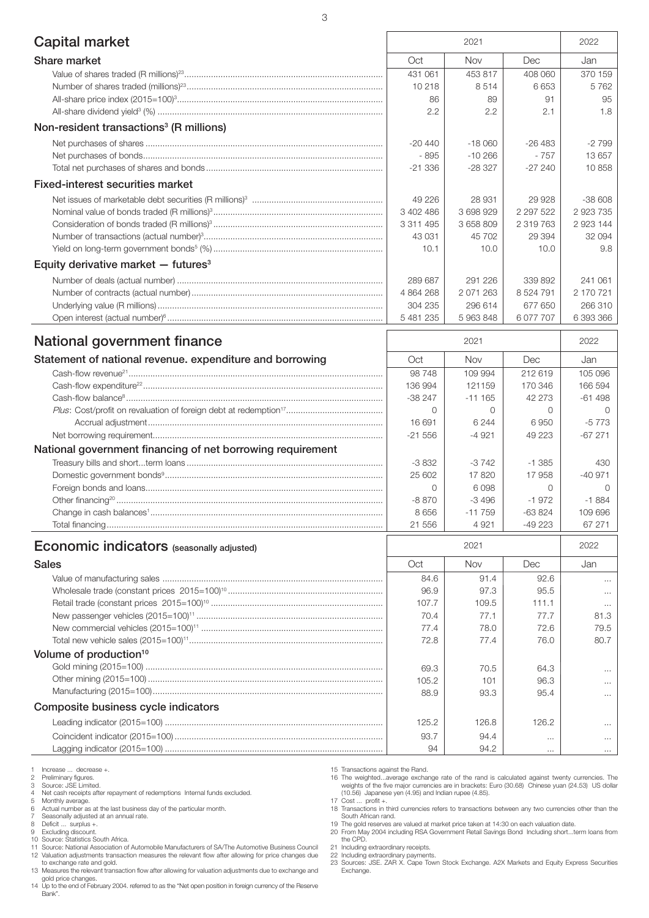| <b>Capital market</b>                                      | 2021      |           | 2022          |           |
|------------------------------------------------------------|-----------|-----------|---------------|-----------|
| Share market                                               | Oct       | Nov       | Dec           | Jan       |
|                                                            | 431 061   | 453 817   | 408 060       | 370 159   |
|                                                            | 10218     | 8514      | 6653          | 5762      |
|                                                            | 86        | 89        | 91            | 95        |
|                                                            | 2.2       | 2.2       | 2.1           | 1.8       |
| Non-resident transactions <sup>3</sup> (R millions)        |           |           |               |           |
|                                                            | -20 440   | $-18060$  | -26 483       | $-2799$   |
|                                                            | - 895     | $-10266$  | $-757$        | 13 657    |
|                                                            | $-21336$  | $-28327$  | $-27240$      | 10858     |
| <b>Fixed-interest securities market</b>                    |           |           |               |           |
|                                                            | 49 226    | 28 931    | 29 9 28       | $-38608$  |
|                                                            | 3 402 486 | 3 698 929 | 2 2 9 7 5 2 2 | 2 923 735 |
|                                                            | 3 311 495 | 3 658 809 | 2 319 763     | 2 923 144 |
|                                                            | 43 031    | 45 702    | 29 3 94       | 32 094    |
|                                                            | 10.1      | 10.0      | 10.0          | 9.8       |
| Equity derivative market $-$ futures <sup>3</sup>          |           |           |               |           |
|                                                            | 289 687   | 291 226   | 339 892       | 241 061   |
|                                                            | 4 864 268 | 2 071 263 | 8 5 24 7 91   | 2 170 721 |
|                                                            | 304 235   | 296 614   | 677 650       | 266 310   |
|                                                            | 5 481 235 | 5 963 848 | 6 077 707     | 6 393 366 |
| National government finance                                |           | 2021      |               | 2022      |
| Statement of national revenue. expenditure and borrowing   | Oct       | Nov       | Dec           | Jan       |
|                                                            | 98748     | 109 994   | 212 619       | 105 096   |
|                                                            | 136 994   | 121159    | 170 346       | 166 594   |
|                                                            | $-38247$  | $-111165$ | 42 273        | $-61498$  |
|                                                            | $\circ$   | 0         | 0             | $\Omega$  |
|                                                            | 16 691    | 6 2 4 4   | 6950          | $-5773$   |
|                                                            | $-21556$  | $-4921$   | 49 223        | $-67271$  |
| National government financing of net borrowing requirement |           |           |               |           |
|                                                            | $-3832$   | $-3742$   | $-1.385$      | 430       |
|                                                            | 25 602    | 17820     | 17958         | $-40971$  |
|                                                            | 0         | 6098      | 0             | $\Omega$  |
|                                                            | $-8870$   | $-3496$   | $-1972$       | $-1884$   |
|                                                            | 8656      | $-11759$  | $-63824$      | 109 696   |
|                                                            | 21 556    | 4 9 21    | $-49223$      | 67 271    |
| <b>Economic indicators</b> (seasonally adjusted)           |           | 2021      |               | 2022      |
| <b>Sales</b>                                               | Oct       | Nov       | Dec           | Jan       |
|                                                            | 84.6      | 91.4      | 92.6          | $\cdots$  |
|                                                            | 96.9      | 97.3      | 95.5          | $\cdots$  |
|                                                            | 107.7     | 109.5     | 111.1         |           |
|                                                            | 70.4      | 77.1      | 77.7          | 81.3      |
|                                                            | 77.4      | 78.0      | 72.6          | 79.5      |
|                                                            | 72.8      | 77.4      | 76.0          | 80.7      |
| Volume of production <sup>10</sup>                         |           |           |               |           |
|                                                            | 69.3      | 70.5      | 64.3          | $\cdots$  |
|                                                            | 105.2     | 101       | 96.3          | $\cdots$  |
|                                                            | 88.9      | 93.3      | 95.4          | $\cdots$  |
| Composite business cycle indicators                        |           |           |               |           |
|                                                            | 125.2     | 126.8     | 126.2         | $\cdots$  |
|                                                            | 93.7      | 94.4      | $\cdots$      | $\cdots$  |
|                                                            | 94        | 94.2      | $\cdots$      | $\cdots$  |
|                                                            |           |           |               |           |

1 Increase ... decrease +. 2 Preliminary figures.

3 Source: JSE Limited. 4 Net cash receipts after repayment of redemptions Internal funds excluded.

5 Monthly average. 6 Actual number as at the last business day of the particular month.

7 Seasonally adjusted at an annual rate. 8 Deficit ... surplus +.

9 Excluding discount. 10 Source: Statistics South Africa. 11 Source: National Association of Automobile Manufacturers of SA/The Automotive Business Council

12 Valuation adjustments transaction measures the relevant flow after allowing for price changes due to exchange rate and gold.

13 Measures the relevant transaction flow after allowing for valuation adjustments due to exchange and

gold price changes. 14 Up to the end of February 2004. referred to as the "Net open position in foreign currency of the Reserve Bank".

15 Transactions against the Rand. 16 The weighted...average exchange rate of the rand is calculated against twenty currencies. The weights of the five major currencies are in brackets: Euro (30.68) Chinese yuan (24.53) US dollar (10.56) Japanese yen (4.95) and Indian rupee (4.85).

17 Cost ... profit +. 18 Transactions in third currencies refers to transactions between any two currencies other than the

South African rand. 19 The gold reserves are valued at market price taken at 14:30 on each valuation date.

20 From May 2004 including RSA Government Retail Savings Bond Including short...term loans from the CPD.

21 Including extraordinary receipts.

22 Including extraordinary payments. 23 Sources: JSE. ZAR X. Cape Town Stock Exchange. A2X Markets and Equity Express Securities Exchange.